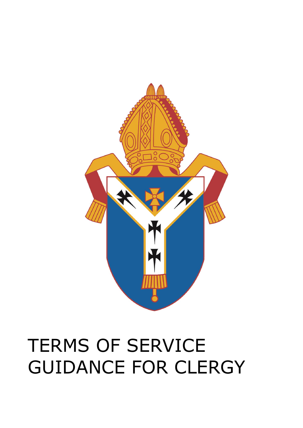# TERMS OF SERVICE GUIDANCE FOR CLERGY

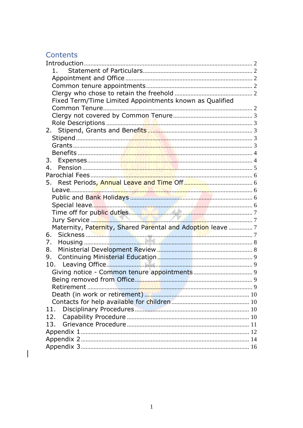# Contents

 $\begin{array}{c} \end{array}$ 

| 1.                                                          |  |
|-------------------------------------------------------------|--|
|                                                             |  |
|                                                             |  |
|                                                             |  |
| Fixed Term/Time Limited Appointments known as Qualified     |  |
|                                                             |  |
|                                                             |  |
|                                                             |  |
| 2.                                                          |  |
|                                                             |  |
|                                                             |  |
|                                                             |  |
| 3.                                                          |  |
| 4.                                                          |  |
|                                                             |  |
| 5.                                                          |  |
| Leave                                                       |  |
|                                                             |  |
|                                                             |  |
|                                                             |  |
|                                                             |  |
| Maternity, Paternity, Shared Parental and Adoption leave  7 |  |
| 6.                                                          |  |
| 7.                                                          |  |
| 8.                                                          |  |
| 9.                                                          |  |
| 10.                                                         |  |
|                                                             |  |
|                                                             |  |
| Retirement                                                  |  |
|                                                             |  |
|                                                             |  |
| 11.                                                         |  |
| 12.                                                         |  |
| 13.                                                         |  |
|                                                             |  |
|                                                             |  |
|                                                             |  |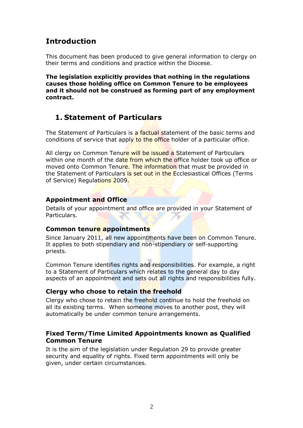# <span id="page-2-0"></span>**Introduction**

This document has been produced to give general information to clergy on their terms and conditions and practice within the Diocese.

**The legislation explicitly provides that nothing in the regulations causes those holding office on Common Tenure to be employees and it should not be construed as forming part of any employment contract.**

# <span id="page-2-1"></span>**1. Statement of Particulars**

The Statement of Particulars is a factual statement of the basic terms and conditions of service that apply to the office holder of a particular office.

All clergy on Common Tenure will be issued a Statement of Particulars within one month of the date from which the office holder took up office or moved onto Common Tenure. The information that must be provided in the Statement of Particulars is set out in the Ecclesiastical Offices (Terms of Service) Regulations 2009.

### <span id="page-2-2"></span>**Appointment and Office**

Details of your appointment and office are provided in your Statement of Particulars.

### <span id="page-2-3"></span>**Common tenure appointments**

Since January 2011, all new appointments have been on Common Tenure. It applies to both stipendiary and non-stipendiary or self-supporting priests.

Common Tenure identifies rights and responsibilities. For example, a right to a Statement of Particulars which relates to the general day to day aspects of an appointment and sets out all rights and responsibilities fully.

### <span id="page-2-4"></span>**Clergy who chose to retain the freehold**

Clergy who chose to retain the freehold continue to hold the freehold on all its existing terms. When someone moves to another post, they will automatically be under common tenure arrangements.

### <span id="page-2-5"></span>**Fixed Term/Time Limited Appointments known as Qualified Common Tenure**

It is the aim of the legislation under Regulation 29 to provide greater security and equality of rights. Fixed term appointments will only be given, under certain circumstances.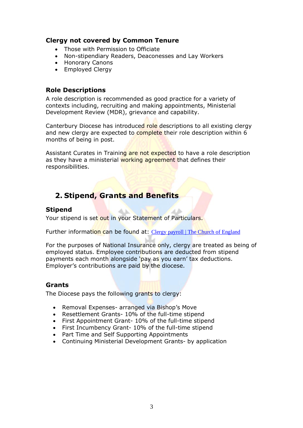### <span id="page-3-0"></span>**Clergy not covered by Common Tenure**

- Those with Permission to Officiate
- Non-stipendiary Readers, Deaconesses and Lay Workers
- Honorary Canons
- Employed Clergy

### <span id="page-3-1"></span>**Role Descriptions**

A role description is recommended as good practice for a variety of contexts including, recruiting and making appointments, Ministerial Development Review (MDR), grievance and capability.

Canterbury Diocese has introduced role descriptions to all existing clergy and new clergy are expected to complete their role description within 6 months of being in post.

Assistant Curates in Training are not expected to have a role description as they have a ministerial working agreement that defines their responsibilities.

# <span id="page-3-2"></span>**2. Stipend, Grants and Benefits**

## <span id="page-3-3"></span>**Stipend**

Your stipend is set out in your Statement of Particulars.

Further information can be found at: [Clergy payroll | The Church of England](https://www.churchofengland.org/resources/clergy-resources/national-clergy-hr/clergy-payroll)

For the purposes of National Insurance only, clergy are treated as being of employed status. Employee contributions are deducted from stipend payments each month alongside 'pay as you earn' tax deductions. Employer's contributions are paid by the diocese.

### <span id="page-3-4"></span>**Grants**

The Diocese pays the following grants to clergy:

- Removal Expenses- arranged via Bishop's Move
- Resettlement Grants- 10% of the full-time stipend
- First Appointment Grant- 10% of the full-time stipend
- First Incumbency Grant- 10% of the full-time stipend
- Part Time and Self Supporting Appointments
- Continuing Ministerial Development Grants- by application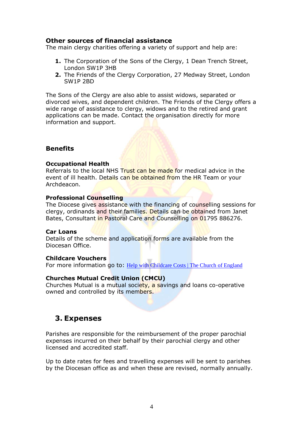### **Other sources of financial assistance**

The main clergy charities offering a variety of support and help are:

- **1.** The Corporation of the Sons of the Clergy, 1 Dean Trench Street, London SW1P 3HB
- **2.** The Friends of the Clergy Corporation, 27 Medway Street, London SW1P 2BD

The Sons of the Clergy are also able to assist widows, separated or divorced wives, and dependent children. The Friends of the Clergy offers a wide range of assistance to clergy, widows and to the retired and grant applications can be made. Contact the organisation directly for more information and support.

### <span id="page-4-0"></span>**Benefits**

#### **Occupational Health**

Referrals to the local NHS Trust can be made for medical advice in the event of ill health. Details can be obtained from the HR Team or your Archdeacon.

#### **Professional Counselling**

The Diocese gives assistance with the financing of counselling sessions for clergy, ordinands and their families. Details can be obtained from Janet Bates, Consultant in Pastoral Care and Counselling on 01795 886276.

#### **Car Loans**

Details of the scheme and application forms are available from the Diocesan Office.

#### **Childcare Vouchers**

For more information go to: [Help with Childcare Costs | The Church of England](https://www.churchofengland.org/resources/clergy-resources/national-clergy-hr/clergy-payroll/help-childcare-costs)

#### **Churches Mutual Credit Union (CMCU)**

Churches Mutual is a mutual society, a savings and loans co-operative owned and controlled by its members.

# <span id="page-4-1"></span>**3. Expenses**

Parishes are responsible for the reimbursement of the proper parochial expenses incurred on their behalf by their parochial clergy and other licensed and accredited staff.

Up to date rates for fees and travelling expenses will be sent to parishes by the Diocesan office as and when these are revised, normally annually.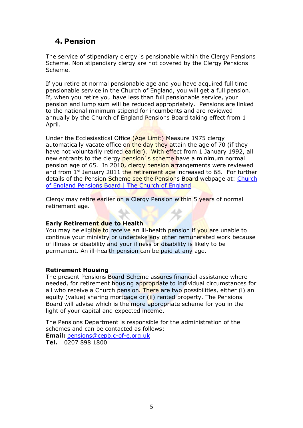# <span id="page-5-0"></span>**4. Pension**

The service of stipendiary clergy is pensionable within the Clergy Pensions Scheme. Non stipendiary clergy are not covered by the Clergy Pensions Scheme.

If you retire at normal pensionable age and you have acquired full time pensionable service in the Church of England, you will get a full pension. If, when you retire you have less than full pensionable service, your pension and lump sum will be reduced appropriately. Pensions are linked to the national minimum stipend for incumbents and are reviewed annually by the Church of England Pensions Board taking effect from 1 April.

Under the Ecclesiastical Office (Age Limit) Measure 1975 clergy automatically vacate office on the day they attain the age of 70 (if they have not voluntarily retired earlier). With effect from 1 January 1992, all new entrants to the clergy pension's scheme have a minimum normal pension age of 65. In 2010, clergy pension arrangements were reviewed and from 1<sup>st</sup> January 2011 the retirement age increased to 68. For further details of the Pension Scheme see the Pensions Board webpage at: [Church](https://www.churchofengland.org/about/leadership-and-governance/church-england-pensions-board)  [of England Pensions Board | The Church of England](https://www.churchofengland.org/about/leadership-and-governance/church-england-pensions-board)

Clergy may retire earlier on a Clergy Pension within 5 years of normal retirement age.

### **Early Retirement due to Health**

You may be eligible to receive an ill-health pension if you are unable to continue your ministry or undertake any other remunerated work because of illness or disability and your illness or disability is likely to be permanent. An ill-health pension can be paid at any age.

### **Retirement Housing**

The present Pensions Board Scheme assures financial assistance where needed, for retirement housing appropriate to individual circumstances for all who receive a Church pension. There are two possibilities, either (i) an equity (value) sharing mortgage or  $(ii)$  rented property. The Pensions Board will advise which is the more appropriate scheme for you in the light of your capital and expected income.

The Pensions Department is responsible for the administration of the schemes and can be contacted as follows:

**Email:** [pensions@cepb.c-of-e.org.uk](mailto:pensions@cepb.c-of-e.org.uk)

**Tel.** 0207 898 1800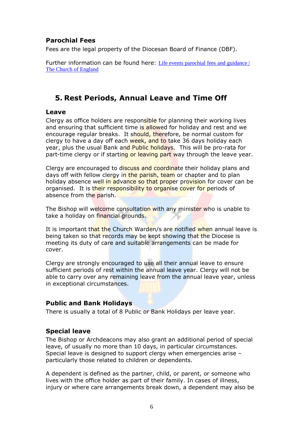# <span id="page-6-0"></span>**Parochial Fees**

Fees are the legal property of the Diocesan Board of Finance (DBF).

Further information can be found here: Life events parochial fees and guidance [The Church of England](https://www.churchofengland.org/resources/clergy-resources/national-clergy-hr/life-events-parochial-fees-and-guidance)

# <span id="page-6-1"></span>**5. Rest Periods, Annual Leave and Time Off**

### <span id="page-6-2"></span>**Leave**

Clergy as office holders are responsible for planning their working lives and ensuring that sufficient time is allowed for holiday and rest and we encourage regular breaks. It should, therefore, be normal custom for clergy to have a day off each week, and to take 36 days holiday each year, plus the usual Bank and Public holidays. This will be pro-rata for part-time clergy or if starting or leaving part way through the leave year.

Clergy are encouraged to discuss and coordinate their holiday plans and days off with fellow clergy in the parish, team or chapter and to plan holiday absence well in advance so that proper provision for cover can be organised. It is their responsibility to organise cover for periods of absence from the parish.

The Bishop will welcome consultation with any minister who is unable to take a holiday on financial grounds.

It is important that the Church Warden/s are notified when annual leave is being taken so that records may be kept showing that the Diocese is meeting its duty of care and suitable arrangements can be made for cover.

Clergy are strongly encouraged to use all their annual leave to ensure sufficient periods of rest within the annual leave year. Clergy will not be able to carry over any remaining leave from the annual leave year, unless in exceptional circumstances.

### <span id="page-6-3"></span>**Public and Bank Holidays**

There is usually a total of 8 Public or Bank Holidays per leave year.

### <span id="page-6-4"></span>**Special leave**

The Bishop or Archdeacons may also grant an additional period of special leave, of usually no more than 10 days, in particular circumstances. Special leave is designed to support clergy when emergencies arise – particularly those related to children or dependents.

A dependent is defined as the partner, child, or parent, or someone who lives with the office holder as part of their family. In cases of illness, injury or where care arrangements break down, a dependent may also be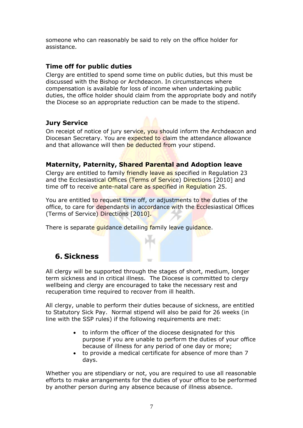someone who can reasonably be said to rely on the office holder for assistance.

### <span id="page-7-0"></span>**Time off for public duties**

Clergy are entitled to spend some time on public duties, but this must be discussed with the Bishop or Archdeacon. In circumstances where compensation is available for loss of income when undertaking public duties, the office holder should claim from the appropriate body and notify the Diocese so an appropriate reduction can be made to the stipend.

### <span id="page-7-1"></span>**Jury Service**

On receipt of notice of jury service, you should inform the Archdeacon and Diocesan Secretary. You are expected to claim the attendance allowance and that allowance will then be deducted from your stipend.

# <span id="page-7-2"></span>**Maternity, Paternity, Shared Parental and Adoption leave**

Clergy are entitled to family friendly leave as specified in Regulation 23 and the Ecclesiastical Offices (Terms of Service) Directions [2010] and time off to receive ante-natal care as specified in Regulation 25.

You are entitled to request time off, or adjustments to the duties of the office, to care for dependants in accordance with the Ecclesiastical Offices (Terms of Service) Directions [2010].

There is separate quidance detailing family leave quidance.

# <span id="page-7-3"></span>**6. Sickness**

All clergy will be supported through the stages of short, medium, longer term sickness and in critical illness. The Diocese is committed to clergy wellbeing and clergy are encouraged to take the necessary rest and recuperation time required to recover from ill health.

All clergy, unable to perform their duties because of sickness, are entitled to Statutory Sick Pay. Normal stipend will also be paid for 26 weeks (in line with the SSP rules) if the following requirements are met:

- to inform the officer of the diocese designated for this purpose if you are unable to perform the duties of your office because of illness for any period of one day or more;
- to provide a medical certificate for absence of more than 7 days.

Whether you are stipendiary or not, you are required to use all reasonable efforts to make arrangements for the duties of your office to be performed by another person during any absence because of illness absence.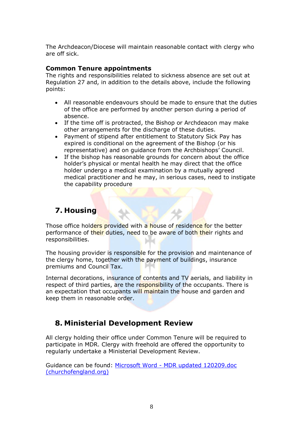The Archdeacon/Diocese will maintain reasonable contact with clergy who are off sick.

### **Common Tenure appointments**

The rights and responsibilities related to sickness absence are set out at Regulation 27 and, in addition to the details above, include the following points:

- All reasonable endeavours should be made to ensure that the duties of the office are performed by another person during a period of absence.
- If the time off is protracted, the Bishop or Archdeacon may make other arrangements for the discharge of these duties.
- Payment of stipend after entitlement to Statutory Sick Pay has expired is conditional on the agreement of the Bishop (or his representative) and on guidance from the Archbishops' Council.
- If the bishop has reasonable grounds for concern about the office holder's physical or mental health he may direct that the office holder undergo a medical examination by a mutually agreed medical practitioner and he may, in serious cases, need to instigate the capability procedure

# <span id="page-8-0"></span>**7. Housing**

Those office holders provided with a house of residence for the better performance of their duties, need to be aware of both their rights and responsibilities. **bolist** 

The housing provider is responsible for the provision and maintenance of the clergy home, together with the payment of buildings, insurance premiums and Council Tax.

Internal decorations, insurance of contents and TV aerials, and liability in respect of third parties, are the responsibility of the occupants. There is an expectation that occupants will maintain the house and garden and keep them in reasonable order.

# <span id="page-8-1"></span>**8. Ministerial Development Review**

All clergy holding their office under Common Tenure will be required to participate in MDR. Clergy with freehold are offered the opportunity to regularly undertake a Ministerial Development Review.

Guidance can be found: Microsoft Word - [MDR updated 120209.doc](https://www.churchofengland.org/sites/default/files/2017-10/ministry_development_review_guidance.pdf)  [\(churchofengland.org\)](https://www.churchofengland.org/sites/default/files/2017-10/ministry_development_review_guidance.pdf)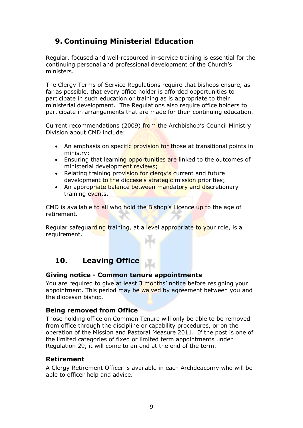# <span id="page-9-0"></span>**9. Continuing Ministerial Education**

Regular, focused and well-resourced in-service training is essential for the continuing personal and professional development of the Church's ministers.

The Clergy Terms of Service Regulations require that bishops ensure, as far as possible, that every office holder is afforded opportunities to participate in such education or training as is appropriate to their ministerial development. The Regulations also require office holders to participate in arrangements that are made for their continuing education.

Current recommendations (2009) from the Archbishop's Council Ministry Division about CMD include:

- An emphasis on specific provision for those at transitional points in ministry;
- Ensuring that learning opportunities are linked to the outcomes of ministerial development reviews;
- Relating training provision for clergy's current and future development to the diocese's strategic mission priorities;
- An appropriate balance between mandatory and discretionary training events.

CMD is available to all who hold the Bishop's Licence up to the age of retirement.

Regular safeguarding training, at a level appropriate to your role, is a requirement.

# <span id="page-9-1"></span>**10. Leaving Office**

### <span id="page-9-2"></span>**Giving notice - Common tenure appointments**

You are required to give at least 3 months' notice before resigning your appointment. This period may be waived by agreement between you and the diocesan bishop.

### <span id="page-9-3"></span>**Being removed from Office**

Those holding office on Common Tenure will only be able to be removed from office through the discipline or capability procedures, or on the operation of the Mission and Pastoral Measure 2011. If the post is one of the limited categories of fixed or limited term appointments under Regulation 29, it will come to an end at the end of the term.

### <span id="page-9-4"></span>**Retirement**

A Clergy Retirement Officer is available in each Archdeaconry who will be able to officer help and advice.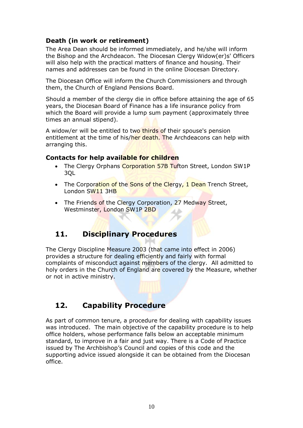# <span id="page-10-0"></span>**Death (in work or retirement)**

The Area Dean should be informed immediately, and he/she will inform the Bishop and the Archdeacon. The Diocesan Clergy Widow(er)s' Officers will also help with the practical matters of finance and housing. Their names and addresses can be found in the online Diocesan Directory.

The Diocesan Office will inform the Church Commissioners and through them, the Church of England Pensions Board.

Should a member of the clergy die in office before attaining the age of 65 years, the Diocesan Board of Finance has a life insurance policy from which the Board will provide a lump sum payment (approximately three times an annual stipend).

A widow/er will be entitled to two thirds of their spouse's pension entitlement at the time of his/her death. The Archdeacons can help with arranging this.

### <span id="page-10-1"></span>**Contacts for help available for children**

- The Clergy Orphans Corporation 57B Tufton Street, London SW1P 3QL
- The Corporation of the Sons of the Clergy, 1 Dean Trench Street, London SW11 3HB
- The Friends of the Clergy Corporation, 27 Medway Street, Westminster, London SW1P 2BD

# <span id="page-10-2"></span>**11. Disciplinary Procedures**

The Clergy Discipline Measure 2003 (that came into effect in 2006) provides a structure for dealing efficiently and fairly with formal complaints of misconduct against members of the clergy. All admitted to holy orders in the Church of England are covered by the Measure, whether or not in active ministry.

# <span id="page-10-3"></span>**12. Capability Procedure**

As part of common tenure, a procedure for dealing with capability issues was introduced. The main objective of the capability procedure is to help office holders, whose performance falls below an acceptable minimum standard, to improve in a fair and just way. There is a Code of Practice issued by The Archbishop's Council and copies of this code and the supporting advice issued alongside it can be obtained from the Diocesan office.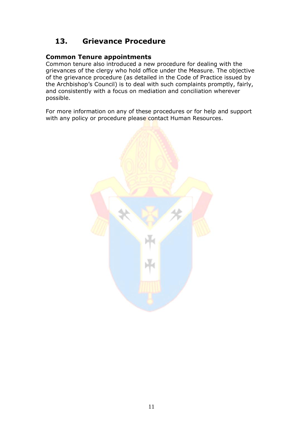# <span id="page-11-0"></span>**13. Grievance Procedure**

### **Common Tenure appointments**

Common tenure also introduced a new procedure for dealing with the grievances of the clergy who hold office under the Measure. The objective of the grievance procedure (as detailed in the Code of Practice issued by the Archbishop's Council) is to deal with such complaints promptly, fairly, and consistently with a focus on mediation and conciliation wherever possible.

For more information on any of these procedures or for help and support with any policy or procedure please contact Human Resources.

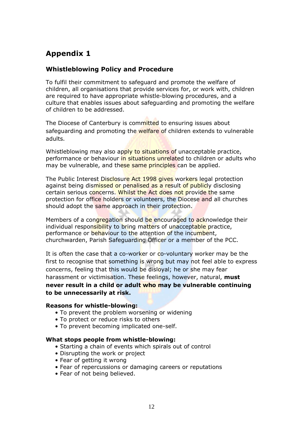# <span id="page-12-0"></span>**Appendix 1**

# **Whistleblowing Policy and Procedure**

To fulfil their commitment to safeguard and promote the welfare of children, all organisations that provide services for, or work with, children are required to have appropriate whistle-blowing procedures, and a culture that enables issues about safeguarding and promoting the welfare of children to be addressed.

The Diocese of Canterbury is committed to ensuring issues about safeguarding and promoting the welfare of children extends to vulnerable adults.

Whistleblowing may also apply to situations of unacceptable practice, performance or behaviour in situations unrelated to children or adults who may be vulnerable, and these same principles can be applied.

The Public Interest Disclosure Act 1998 gives workers legal protection against being dismissed or penalised as a result of publicly disclosing certain serious concerns. Whilst the Act does not provide the same protection for office holders or volunteers, the Diocese and all churches should adopt the same approach in their protection.

Members of a congregation should be encouraged to acknowledge their individual responsibility to bring matters of unacceptable practice, performance or behaviour to the attention of the incumbent, churchwarden, Parish Safeguarding Officer or a member of the PCC.

It is often the case that a co-worker or co-voluntary worker may be the first to recognise that something is wrong but may not feel able to express concerns, feeling that this would be disloyal; he or she may fear harassment or victimisation. These feelings, however, natural, **must never result in a child or adult who may be vulnerable continuing to be unnecessarily at risk.**

#### **Reasons for whistle-blowing:**

- To prevent the problem worsening or widening
- To protect or reduce risks to others
- To prevent becoming implicated one-self.

### **What stops people from whistle-blowing:**

- Starting a chain of events which spirals out of control
- Disrupting the work or project
- Fear of getting it wrong
- Fear of repercussions or damaging careers or reputations
- Fear of not being believed.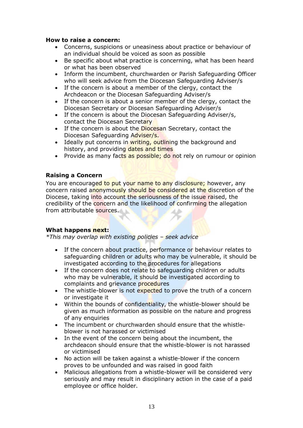#### **How to raise a concern:**

- Concerns, suspicions or uneasiness about practice or behaviour of an individual should be voiced as soon as possible
- Be specific about what practice is concerning, what has been heard or what has been observed
- Inform the incumbent, churchwarden or Parish Safeguarding Officer who will seek advice from the Diocesan Safeguarding Adviser/s
- If the concern is about a member of the clergy, contact the Archdeacon or the Diocesan Safeguarding Adviser/s
- If the concern is about a senior member of the clergy, contact the Diocesan Secretary or Diocesan Safeguarding Adviser/s
- If the concern is about the Diocesan Safeguarding Adviser/s, contact the Diocesan Secretary
- If the concern is about the Diocesan Secretary, contact the Diocesan Safeguarding Adviser/s.
- Ideally put concerns in writing, outlining the background and history, and providing dates and times
- Provide as many facts as possible; do not rely on rumour or opinion

### **Raising a Concern**

You are encouraged to put your name to any disclosure; however, any concern raised anonymously should be considered at the discretion of the Diocese, taking into account the seriousness of the issue raised, the credibility of the concern and the likelihood of confirming the allegation from attributable sources.

#### **What happens next:**

*\*This may overlap with existing policies – seek advice*

- If the concern about practice, performance or behaviour relates to safeguarding children or adults who may be vulnerable, it should be investigated according to the procedures for allegations
- If the concern does not relate to safeguarding children or adults who may be vulnerable, it should be investigated according to complaints and grievance procedures
- The whistle-blower is not expected to prove the truth of a concern or investigate it
- Within the bounds of confidentiality, the whistle-blower should be given as much information as possible on the nature and progress of any enquiries
- The incumbent or churchwarden should ensure that the whistleblower is not harassed or victimised
- In the event of the concern being about the incumbent, the archdeacon should ensure that the whistle-blower is not harassed or victimised
- No action will be taken against a whistle-blower if the concern proves to be unfounded and was raised in good faith
- Malicious allegations from a whistle-blower will be considered very seriously and may result in disciplinary action in the case of a paid employee or office holder.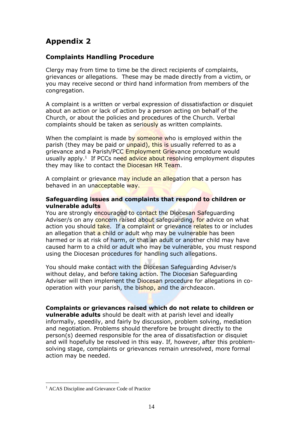# <span id="page-14-0"></span>**Appendix 2**

### **Complaints Handling Procedure**

Clergy may from time to time be the direct recipients of complaints, grievances or allegations. These may be made directly from a victim, or you may receive second or third hand information from members of the congregation.

A complaint is a written or verbal expression of dissatisfaction or disquiet about an action or lack of action by a person acting on behalf of the Church, or about the policies and procedures of the Church. Verbal complaints should be taken as seriously as written complaints.

When the complaint is made by someone who is employed within the parish (they may be paid or *unpaid)*, this is usually referred to as a grievance and a Parish/PCC Employment Grievance procedure would usually apply.<sup>1</sup> If PCCs need advice about resolving employment disputes they may like to contact the Diocesan HR Team.

A complaint or grievance may include an allegation that a person has behaved in an unacceptable way.

#### **Safeguarding issues and complaints that respond to children or vulnerable adults**

You are strongly encouraged to contact the Diocesan Safeguarding Adviser/s on any concern raised about safeguarding, for advice on what action you should take. If a complaint or grievance relates to or includes an allegation that a child or adult who may be vulnerable has been harmed or is at risk of harm, or that an adult or another child may have caused harm to a child or adult who may be vulnerable, you must respond using the Diocesan procedures for handling such allegations.

You should make contact with the Diocesan Safeguarding Adviser/s without delay, and before taking action. The Diocesan Safeguarding Adviser will then implement the Diocesan procedure for allegations in cooperation with your parish, the bishop, and the archdeacon.

### **Complaints or grievances raised which do not relate to children or**

**vulnerable adults** should be dealt with at parish level and ideally informally, speedily, and fairly by discussion, problem solving, mediation and negotiation. Problems should therefore be brought directly to the person(s) deemed responsible for the area of dissatisfaction or disquiet and will hopefully be resolved in this way. If, however, after this problemsolving stage, complaints or grievances remain unresolved, more formal action may be needed.

<sup>&</sup>lt;sup>1</sup> ACAS Discipline and Grievance Code of Practice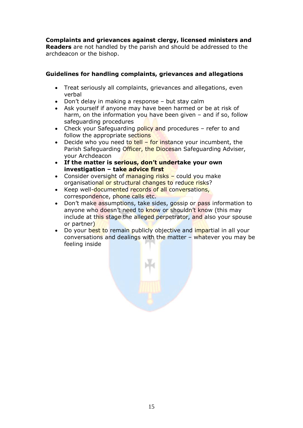**Complaints and grievances against clergy, licensed ministers and Readers** are not handled by the parish and should be addressed to the archdeacon or the bishop.

### **Guidelines for handling complaints, grievances and allegations**

- Treat seriously all complaints, grievances and allegations, even verbal
- Don't delay in making a response but stay calm
- Ask yourself if anyone may have been harmed or be at risk of harm, on the information you have been given – and if so, follow safeguarding procedures
- Check your Safeguarding policy and procedures refer to and follow the appropriate sections
- Decide who you need to tell  $-$  for instance your incumbent, the Parish Safeguarding Officer, the Diocesan Safeguarding Adviser, your Archdeacon
- **If the matter is serious, don't undertake your own investigation – take advice first**
- Consider oversight of managing risks could you make organisational or structural changes to reduce risks?
- Keep well-documented records of all conversations, correspondence, phone calls etc.
- Don't make assumptions, take sides, gossip or pass information to anyone who doesn't need to know or shouldn't know (this may include at this stage the alleged perpetrator, and also your spouse or partner)
- Do your best to remain publicly objective and impartial in all your conversations and dealings with the matter – whatever you may be feeling inside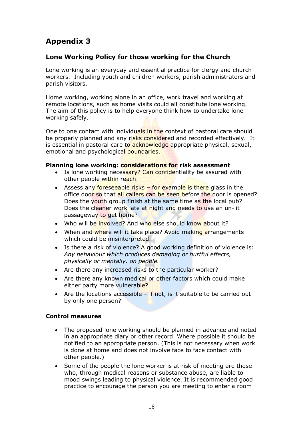# <span id="page-16-0"></span>**Appendix 3**

# **Lone Working Policy for those working for the Church**

Lone working is an everyday and essential practice for clergy and church workers. Including youth and children workers, parish administrators and parish visitors.

Home working, working alone in an office, work travel and working at remote locations, such as home visits could all constitute lone working. The aim of this policy is to help everyone think how to undertake lone working safely.

One to one contact with individuals in the context of pastoral care should be properly planned and any risks considered and recorded effectively. It is essential in pastoral care to acknowledge appropriate physical, sexual, emotional and psychological boundaries.

### **Planning lone working: considerations for risk assessment**

- Is lone working necessary? Can confidentiality be assured with other people within reach.
- Assess any foreseeable risks for example is there glass in the office door so that all callers can be seen before the door is opened? Does the youth group finish at the same time as the local pub? Does the cleaner work late at night and needs to use an un-lit passageway to get home?
- Who will be involved? And who else should know about it?
- When and where will it take place? Avoid making arrangements which could be misinterpreted.
- Is there a risk of violence? A good working definition of violence is: *Any behaviour which produces damaging or hurtful effects, physically or mentally, on people.*
- Are there any increased risks to the particular worker?
- Are there any known medical or other factors which could make either party more vulnerable?
- Are the locations accessible  $-$  if not, is it suitable to be carried out by only one person?

### **Control measures**

- The proposed lone working should be planned in advance and noted in an appropriate diary or other record. Where possible it should be notified to an appropriate person. (This is not necessary when work is done at home and does not involve face to face contact with other people.)
- Some of the people the lone worker is at risk of meeting are those who, through medical reasons or substance abuse, are liable to mood swings leading to physical violence. It is recommended good practice to encourage the person you are meeting to enter a room